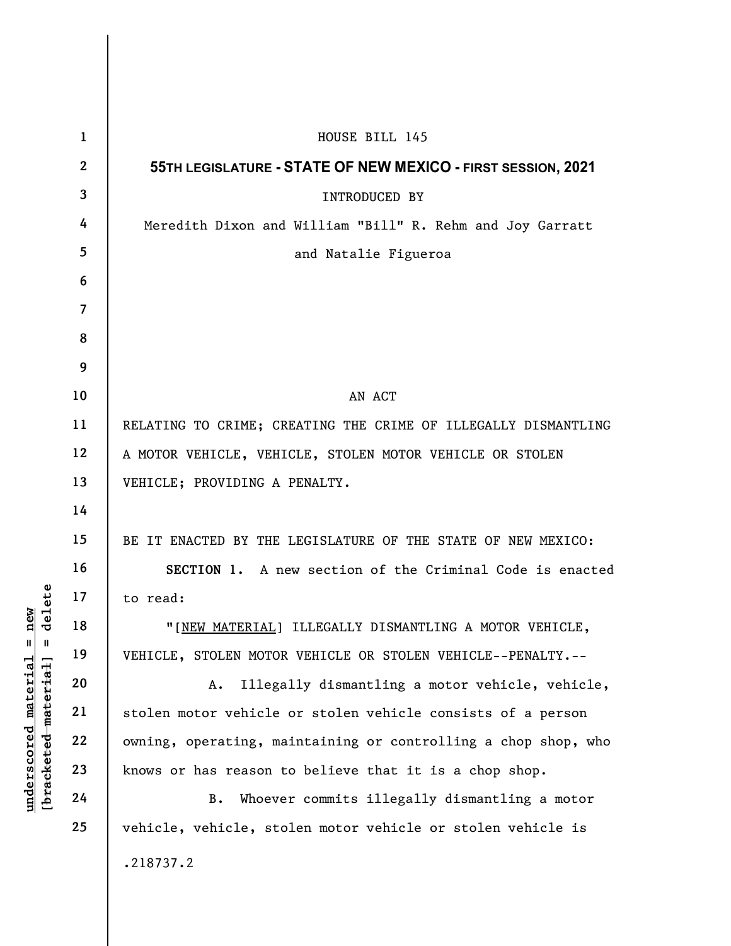| delete<br>new<br>$^{\mathsf{II}}$<br>Ш | $\mathbf{1}$    | HOUSE BILL 145                                                 |
|----------------------------------------|-----------------|----------------------------------------------------------------|
|                                        | $\overline{2}$  | 55TH LEGISLATURE - STATE OF NEW MEXICO - FIRST SESSION, 2021   |
|                                        | 3               | <b>INTRODUCED BY</b>                                           |
|                                        | 4               | Meredith Dixon and William "Bill" R. Rehm and Joy Garratt      |
|                                        | $5\phantom{.0}$ | and Natalie Figueroa                                           |
|                                        | 6               |                                                                |
|                                        | $\overline{7}$  |                                                                |
|                                        | 8               |                                                                |
|                                        | 9               |                                                                |
|                                        | 10              | AN ACT                                                         |
|                                        | 11              | RELATING TO CRIME; CREATING THE CRIME OF ILLEGALLY DISMANTLING |
|                                        | 12              | A MOTOR VEHICLE, VEHICLE, STOLEN MOTOR VEHICLE OR STOLEN       |
|                                        | 13              | VEHICLE; PROVIDING A PENALTY.                                  |
|                                        | 14              |                                                                |
|                                        | 15              | BE IT ENACTED BY THE LEGISLATURE OF THE STATE OF NEW MEXICO:   |
|                                        | 16              | SECTION 1. A new section of the Criminal Code is enacted       |
|                                        | 17              | to read:                                                       |
|                                        | 18              | "[NEW MATERIAL] ILLEGALLY DISMANTLING A MOTOR VEHICLE,         |
|                                        | 19              | VEHICLE, STOLEN MOTOR VEHICLE OR STOLEN VEHICLE--PENALTY.--    |
| <u>material</u>                        | 20              | Illegally dismantling a motor vehicle, vehicle,<br>A.          |
|                                        | 21              | stolen motor vehicle or stolen vehicle consists of a person    |
|                                        | 22              | owning, operating, maintaining or controlling a chop shop, who |
| [bracketed-material]<br>underscored    | 23              | knows or has reason to believe that it is a chop shop.         |
|                                        | 24              | Whoever commits illegally dismantling a motor<br><b>B.</b>     |
|                                        | 25              | vehicle, vehicle, stolen motor vehicle or stolen vehicle is    |
|                                        |                 | .218737.2                                                      |
|                                        |                 |                                                                |

 $\overline{\phantom{a}}$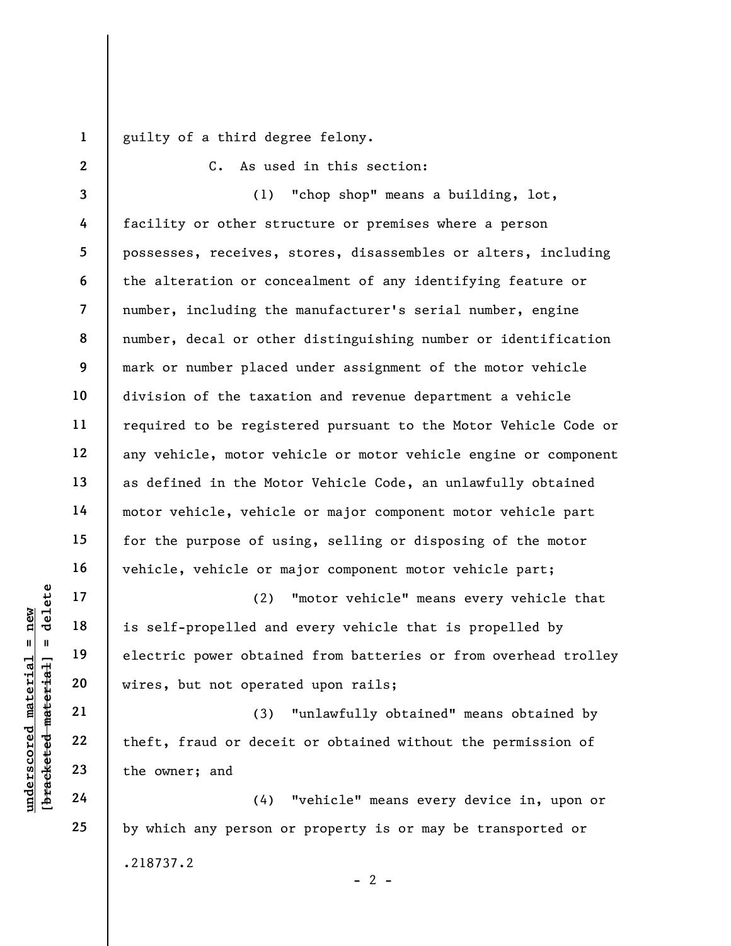1 guilty of a third degree felony.

2

C. As used in this section:

3 4 5 6 7 8 9 10 11 12 13 14 15 16 (1) "chop shop" means a building, lot, facility or other structure or premises where a person possesses, receives, stores, disassembles or alters, including the alteration or concealment of any identifying feature or number, including the manufacturer's serial number, engine number, decal or other distinguishing number or identification mark or number placed under assignment of the motor vehicle division of the taxation and revenue department a vehicle required to be registered pursuant to the Motor Vehicle Code or any vehicle, motor vehicle or motor vehicle engine or component as defined in the Motor Vehicle Code, an unlawfully obtained motor vehicle, vehicle or major component motor vehicle part for the purpose of using, selling or disposing of the motor vehicle, vehicle or major component motor vehicle part;

underscored material material and<br>
understand the self-propelled and<br>
understand the self-propelled and<br>
understand vires, but not operat<br>
21<br>
22<br>
the fit, fraud or decei<br>
the owner; and<br>
24<br>
(4) (2) "motor vehicle" means every vehicle that is self-propelled and every vehicle that is propelled by electric power obtained from batteries or from overhead trolley wires, but not operated upon rails;

(3) "unlawfully obtained" means obtained by theft, fraud or deceit or obtained without the permission of the owner; and

(4) "vehicle" means every device in, upon or by which any person or property is or may be transported or .218737.2  $- 2 -$ 

17

18

19

20

21

22

23

24

25